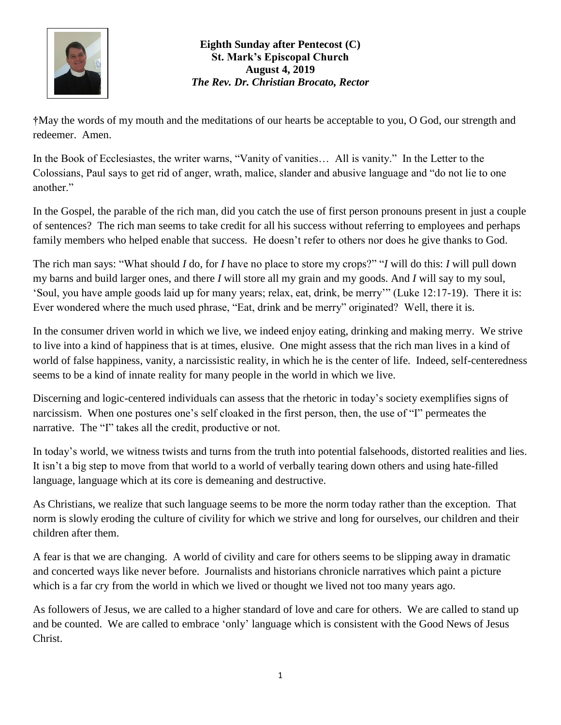

## **Eighth Sunday after Pentecost (C) St. Mark's Episcopal Church August 4, 2019** *The Rev. Dr. Christian Brocato, Rector*

**†**May the words of my mouth and the meditations of our hearts be acceptable to you, O God, our strength and redeemer. Amen.

In the Book of Ecclesiastes, the writer warns, "Vanity of vanities... All is vanity." In the Letter to the Colossians, Paul says to get rid of anger, wrath, malice, slander and abusive language and "do not lie to one another."

In the Gospel, the parable of the rich man, did you catch the use of first person pronouns present in just a couple of sentences? The rich man seems to take credit for all his success without referring to employees and perhaps family members who helped enable that success. He doesn't refer to others nor does he give thanks to God.

The rich man says: "What should *I* do, for *I* have no place to store my crops?" "*I* will do this: *I* will pull down my barns and build larger ones, and there *I* will store all my grain and my goods. And *I* will say to my soul, 'Soul, you have ample goods laid up for many years; relax, eat, drink, be merry'" (Luke 12:17-19). There it is: Ever wondered where the much used phrase, "Eat, drink and be merry" originated? Well, there it is.

In the consumer driven world in which we live, we indeed enjoy eating, drinking and making merry. We strive to live into a kind of happiness that is at times, elusive. One might assess that the rich man lives in a kind of world of false happiness, vanity, a narcissistic reality, in which he is the center of life. Indeed, self-centeredness seems to be a kind of innate reality for many people in the world in which we live.

Discerning and logic-centered individuals can assess that the rhetoric in today's society exemplifies signs of narcissism. When one postures one's self cloaked in the first person, then, the use of "I" permeates the narrative. The "I" takes all the credit, productive or not.

In today's world, we witness twists and turns from the truth into potential falsehoods, distorted realities and lies. It isn't a big step to move from that world to a world of verbally tearing down others and using hate-filled language, language which at its core is demeaning and destructive.

As Christians, we realize that such language seems to be more the norm today rather than the exception. That norm is slowly eroding the culture of civility for which we strive and long for ourselves, our children and their children after them.

A fear is that we are changing. A world of civility and care for others seems to be slipping away in dramatic and concerted ways like never before. Journalists and historians chronicle narratives which paint a picture which is a far cry from the world in which we lived or thought we lived not too many years ago.

As followers of Jesus, we are called to a higher standard of love and care for others. We are called to stand up and be counted. We are called to embrace 'only' language which is consistent with the Good News of Jesus Christ.